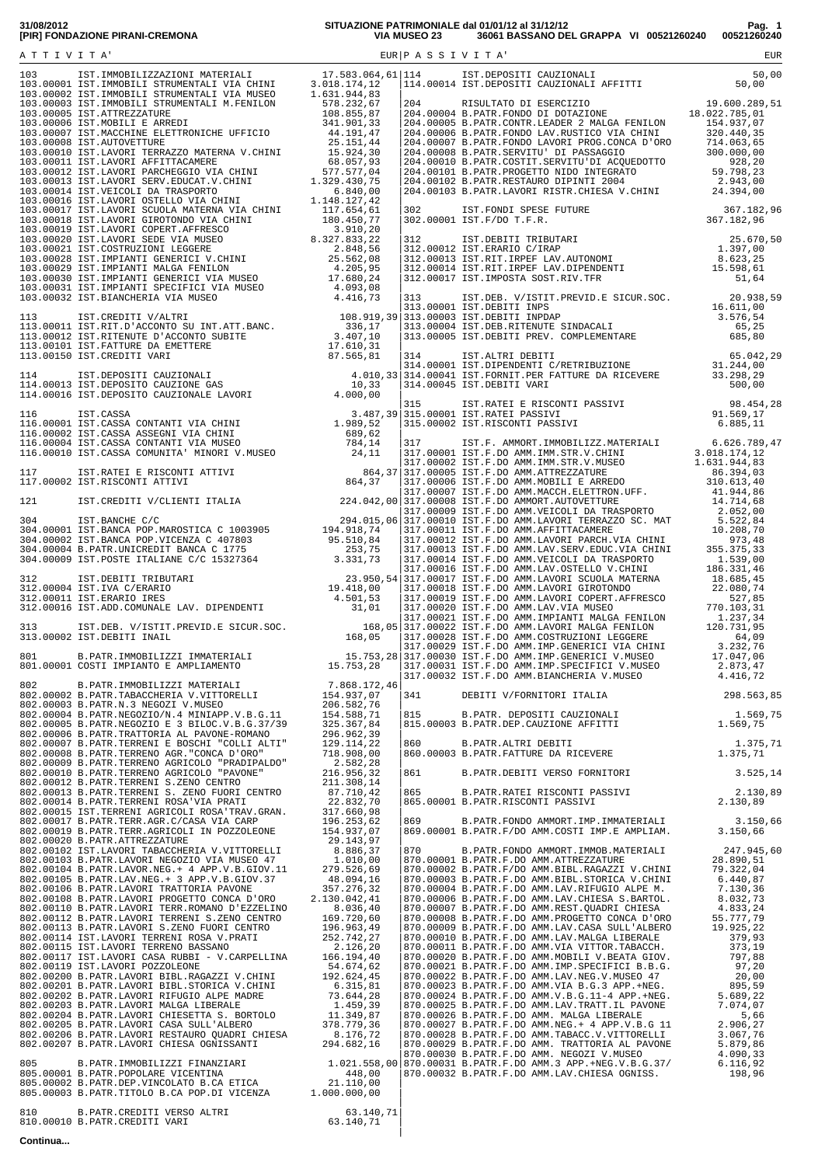| 31/08/2012                      |  |
|---------------------------------|--|
| [PIR] FONDAZIONE PIRANI-CREMONA |  |

**31/08/2012 SITUAZIONE PATRIMONIALE dal 01/01/12 al 31/12/12 Pag. 1 [PIR] FONDAZIONE PIRANI-CREMONA VIA MUSEO 23 36061 BASSANO DEL GRAPPA VI 00521260240 00521260240**

|  |  | 860.00003 B.PATR.ALTRI DEBITI 1.375,71<br>860.00003 B.PATR.FATTURE DA RICEVERE 1.375,71<br>861 B.PATR.DEBITI VERSO FORNITORI 3.525,14 |  |
|--|--|---------------------------------------------------------------------------------------------------------------------------------------|--|
|  |  |                                                                                                                                       |  |
|  |  |                                                                                                                                       |  |
|  |  |                                                                                                                                       |  |
|  |  |                                                                                                                                       |  |
|  |  |                                                                                                                                       |  |
|  |  |                                                                                                                                       |  |
|  |  |                                                                                                                                       |  |
|  |  |                                                                                                                                       |  |
|  |  |                                                                                                                                       |  |

**Continua...**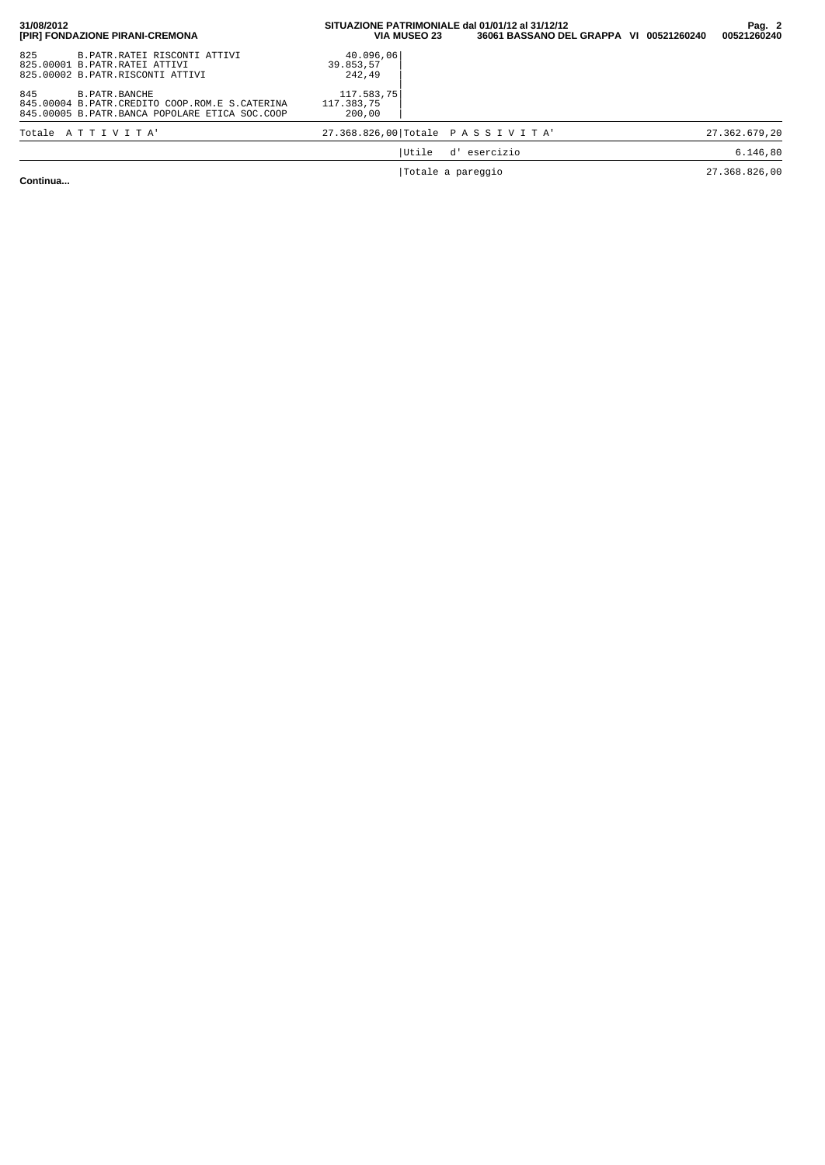| 31/08/2012<br>[PIR] FONDAZIONE PIRANI-CREMONA                                                                                                                                                 | SITUAZIONE PATRIMONIALE dal 01/01/12 al 31/12/12<br>36061 BASSANO DEL GRAPPA VI 00521260240<br><b>VIA MUSEO 23</b> |           | Pag. 2<br>00521260240 |               |
|-----------------------------------------------------------------------------------------------------------------------------------------------------------------------------------------------|--------------------------------------------------------------------------------------------------------------------|-----------|-----------------------|---------------|
| 825<br>B. PATR. RATEI RISCONTI ATTIVI<br>825.00001 B.PATR.RATEI ATTIVI<br>825.00002 B.PATR.RISCONTI ATTIVI<br>845<br><b>B. PATR. BANCHE</b><br>845.00004 B.PATR.CREDITO COOP.ROM.E S.CATERINA | 40.096,06<br>39.853.57<br>242,49<br>117.583.75<br>117.383.75                                                       |           |                       |               |
| 845.00005 B.PATR.BANCA POPOLARE ETICA SOC.COOP                                                                                                                                                | 200,00                                                                                                             |           |                       |               |
| Totale ATTIVITA'                                                                                                                                                                              | 27.368.826,00 Totale PASSIVITA                                                                                     |           |                       | 27.362.679,20 |
|                                                                                                                                                                                               | Utile<br>d'                                                                                                        | esercizio |                       | 6.146, 80     |
|                                                                                                                                                                                               | Totale a pareggio                                                                                                  |           |                       | 27.368.826,00 |

**Continua...**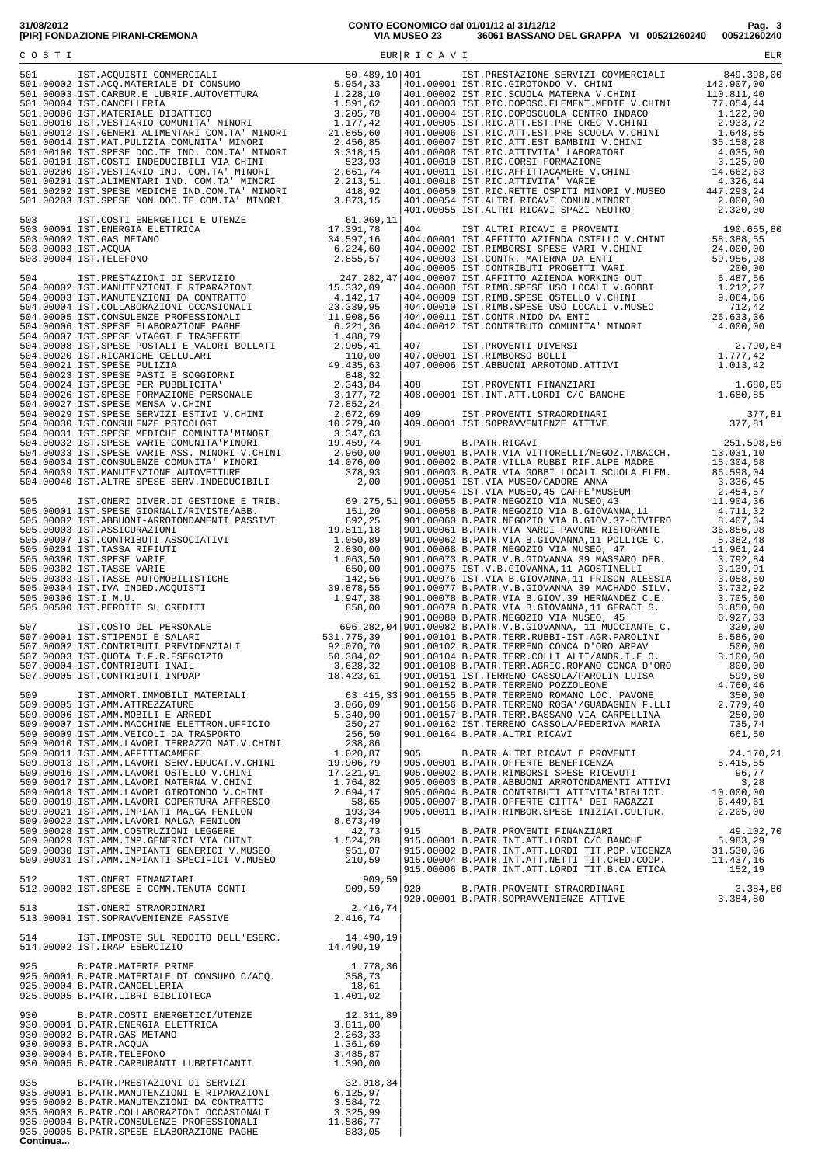| 14.490,19<br>514.00002 IST.IRAP ESERCIZIO<br>514.00002 IST.IRAP ESERCIZIO<br>514.00002 IST.IRAP ESERCIZIO<br>525.00001 B.PATR.MATERIE PRIME<br>925.00001 B.PATR.MATERIALE DI CONSUMO C/ACQ.<br>358,73<br>925.00004 B.PATR.CANCELLERIA<br>925.0 |  |
|------------------------------------------------------------------------------------------------------------------------------------------------------------------------------------------------------------------------------------------------|--|
|                                                                                                                                                                                                                                                |  |
|                                                                                                                                                                                                                                                |  |